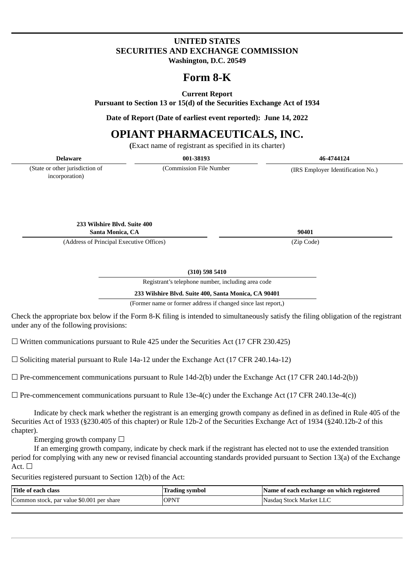# **UNITED STATES SECURITIES AND EXCHANGE COMMISSION Washington, D.C. 20549**

# **Form 8-K**

**Current Report**

**Pursuant to Section 13 or 15(d) of the Securities Exchange Act of 1934**

**Date of Report (Date of earliest event reported): June 14, 2022**

# **OPIANT PHARMACEUTICALS, INC.**

**(**Exact name of registrant as specified in its charter)

| Delaware                                          | 001-38193                | 46-4744124                        |
|---------------------------------------------------|--------------------------|-----------------------------------|
| (State or other jurisdiction of<br>incorporation) | (Commission File Number) | (IRS Employer Identification No.) |

**233 Wilshire Blvd. Suite 400 Santa Monica, CA 90401**

(Address of Principal Executive Offices) (Zip Code)

**(310) 598 5410**

Registrant's telephone number, including area code

**233 Wilshire Blvd. Suite 400, Santa Monica, CA 90401**

(Former name or former address if changed since last report,)

Check the appropriate box below if the Form 8-K filing is intended to simultaneously satisfy the filing obligation of the registrant under any of the following provisions:

 $\Box$  Written communications pursuant to Rule 425 under the Securities Act (17 CFR 230.425)

 $\square$  Soliciting material pursuant to Rule 14a-12 under the Exchange Act (17 CFR 240.14a-12)

 $\Box$  Pre-commencement communications pursuant to Rule 14d-2(b) under the Exchange Act (17 CFR 240.14d-2(b))

 $\Box$  Pre-commencement communications pursuant to Rule 13e-4(c) under the Exchange Act (17 CFR 240.13e-4(c))

Indicate by check mark whether the registrant is an emerging growth company as defined in as defined in Rule 405 of the Securities Act of 1933 (§230.405 of this chapter) or Rule 12b-2 of the Securities Exchange Act of 1934 (§240.12b-2 of this chapter).

Emerging growth company  $\Box$ 

If an emerging growth company, indicate by check mark if the registrant has elected not to use the extended transition period for complying with any new or revised financial accounting standards provided pursuant to Section 13(a) of the Exchange  $Act. \Box$ 

Securities registered pursuant to Section 12(b) of the Act:

| Title of each class                       | <b>Trading symbol</b> | Name of each exchange on which registered |
|-------------------------------------------|-----------------------|-------------------------------------------|
| Common stock, par value \$0.001 per share | <b>OPNT</b>           | Nasdag Stock Market LLC                   |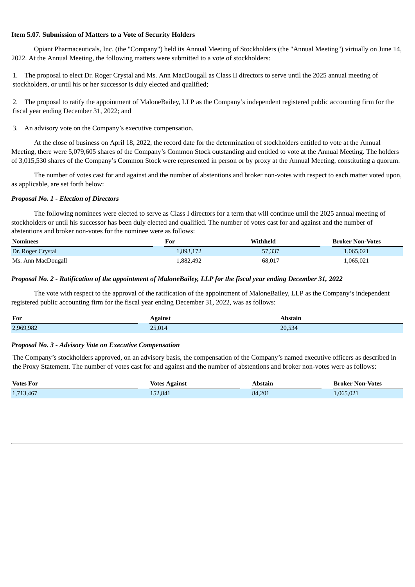#### **Item 5.07. Submission of Matters to a Vote of Security Holders**

Opiant Pharmaceuticals, Inc. (the "Company") held its Annual Meeting of Stockholders (the "Annual Meeting") virtually on June 14, 2022. At the Annual Meeting, the following matters were submitted to a vote of stockholders:

1. The proposal to elect Dr. Roger Crystal and Ms. Ann MacDougall as Class II directors to serve until the 2025 annual meeting of stockholders, or until his or her successor is duly elected and qualified;

2. The proposal to ratify the appointment of MaloneBailey, LLP as the Company's independent registered public accounting firm for the fiscal year ending December 31, 2022; and

#### 3. An advisory vote on the Company's executive compensation.

At the close of business on April 18, 2022, the record date for the determination of stockholders entitled to vote at the Annual Meeting, there were 5,079,605 shares of the Company's Common Stock outstanding and entitled to vote at the Annual Meeting. The holders of 3,015,530 shares of the Company's Common Stock were represented in person or by proxy at the Annual Meeting, constituting a quorum.

The number of votes cast for and against and the number of abstentions and broker non-votes with respect to each matter voted upon, as applicable, are set forth below:

#### *Proposal No. 1 - Election of Directors*

The following nominees were elected to serve as Class I directors for a term that will continue until the 2025 annual meeting of stockholders or until his successor has been duly elected and qualified. The number of votes cast for and against and the number of abstentions and broker non-votes for the nominee were as follows:

| Nominees           | For       | Withheld | <b>Broker Non-Votes</b> |
|--------------------|-----------|----------|-------------------------|
| Dr. Roger Crystal  | 1,893,172 | 57,337   | 1,065,021               |
| Ms. Ann MacDougall | 1,882,492 | 68,017   | 1,065,021               |

#### Proposal No. 2 - Ratification of the appointment of MaloneBailey, LLP for the fiscal year ending December 31, 2022

The vote with respect to the approval of the ratification of the appointment of MaloneBailey, LLP as the Company's independent registered public accounting firm for the fiscal year ending December 31, 2022, was as follows:

| For       | Against | Abstain       |
|-----------|---------|---------------|
| 2,969,982 | 25,014  | 20E<br>20,534 |

### *Proposal No. 3* **-** *Advisory Vote on Executive Compensation*

The Company's stockholders approved, on an advisory basis, the compensation of the Company's named executive officers as described in the Proxy Statement. The number of votes cast for and against and the number of abstentions and broker non-votes were as follows:

| <b>Votes For</b> | <b>Votes Against</b> | Abstain | <b>Broker Non-Votes</b> |
|------------------|----------------------|---------|-------------------------|
| 1,713,467        | 152,841              | 84,201  | 1.065.021               |